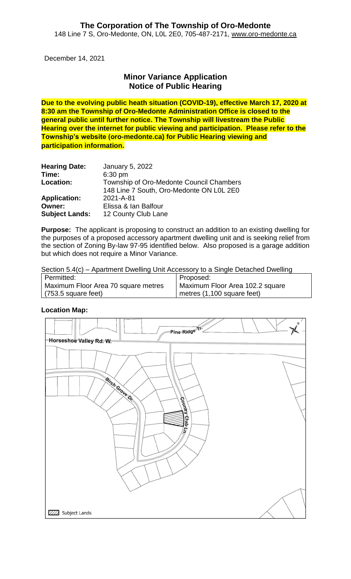December 14, 2021

## **Minor Variance Application Notice of Public Hearing**

**Due to the evolving public heath situation (COVID-19), effective March 17, 2020 at 8:30 am the Township of Oro-Medonte Administration Office is closed to the general public until further notice. The Township will livestream the Public Hearing over the internet for public viewing and participation. Please refer to the Township's website (oro-medonte.ca) for Public Hearing viewing and participation information.**

| <b>Hearing Date:</b>  | January 5, 2022                          |
|-----------------------|------------------------------------------|
| Time:                 | 6:30 pm                                  |
| Location:             | Township of Oro-Medonte Council Chambers |
|                       | 148 Line 7 South, Oro-Medonte ON L0L 2E0 |
| <b>Application:</b>   | 2021-A-81                                |
| Owner:                | Elissa & Ian Balfour                     |
| <b>Subject Lands:</b> | 12 County Club Lane                      |

**Purpose:** The applicant is proposing to construct an addition to an existing dwelling for the purposes of a proposed accessory apartment dwelling unit and is seeking relief from the section of Zoning By-law 97-95 identified below. Also proposed is a garage addition but which does not require a Minor Variance.

Section 5.4(c) – Apartment Dwelling Unit Accessory to a Single Detached Dwelling

| Permitted:                          | Proposed:                        |
|-------------------------------------|----------------------------------|
| Maximum Floor Area 70 square metres | Maximum Floor Area 102.2 square  |
| $(753.5 \text{ square feet})$       | $\mu$ metres (1,100 square feet) |

**Location Map:**

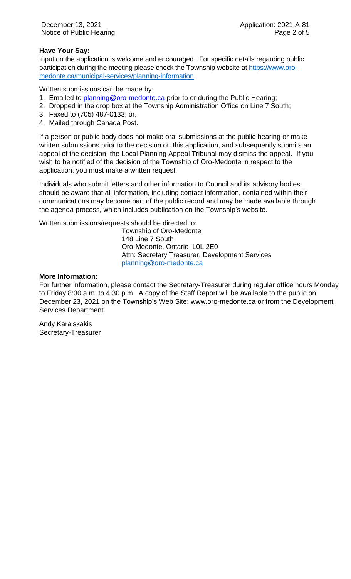#### **Have Your Say:**

Input on the application is welcome and encouraged. For specific details regarding public participation during the meeting please check the Township website at [https://www.oro](https://www.oro-medonte.ca/municipal-services/planning-information)[medonte.ca/municipal-services/planning-information.](https://www.oro-medonte.ca/municipal-services/planning-information)

Written submissions can be made by:

- 1. Emailed to [planning@oro-medonte.ca](mailto:planning@oro-medonte.ca) prior to or during the Public Hearing;
- 2. Dropped in the drop box at the Township Administration Office on Line 7 South;
- 3. Faxed to (705) 487-0133; or,
- 4. Mailed through Canada Post.

If a person or public body does not make oral submissions at the public hearing or make written submissions prior to the decision on this application, and subsequently submits an appeal of the decision, the Local Planning Appeal Tribunal may dismiss the appeal. If you wish to be notified of the decision of the Township of Oro-Medonte in respect to the application, you must make a written request.

Individuals who submit letters and other information to Council and its advisory bodies should be aware that all information, including contact information, contained within their communications may become part of the public record and may be made available through the agenda process, which includes publication on the Township's website.

Written submissions/requests should be directed to:

Township of Oro-Medonte 148 Line 7 South Oro-Medonte, Ontario L0L 2E0 Attn: Secretary Treasurer, Development Services [planning@oro-medonte.ca](mailto:planning@oro-medonte.ca)

#### **More Information:**

For further information, please contact the Secretary-Treasurer during regular office hours Monday to Friday 8:30 a.m. to 4:30 p.m. A copy of the Staff Report will be available to the public on December 23, 2021 on the Township's Web Site: [www.oro-medonte.ca](http://www.oro-medonte.ca/) or from the Development Services Department.

Andy Karaiskakis Secretary-Treasurer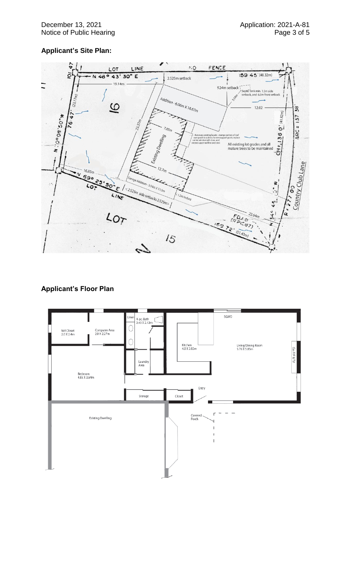### **Applicant's Site Plan:**



#### **Applicant's Floor Plan**

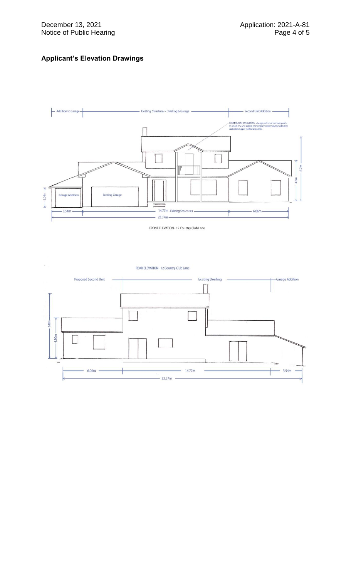#### **Applicant's Elevation Drawings**



FRONT ELEVATION - 12 Country Club Lane

REAR ELEVATION - 12 Country Club Lane